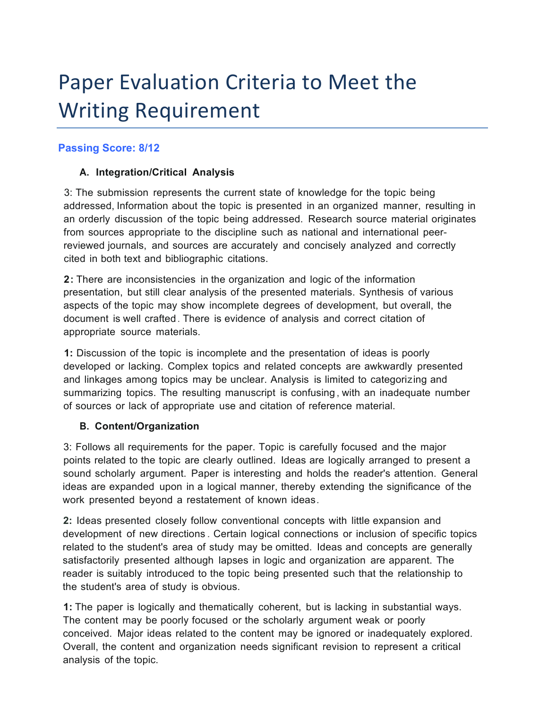# Paper Evaluation Criteria to Meet the **Writing Requirement**

## **Passing Score: 8/12**

## **A. Integration/Critical Analysis**

3: The submission represents the current state of knowledge for the topic being addressed, Information about the topic is presented in an organized manner, resulting in an orderly discussion of the topic being addressed. Research source material originates from sources appropriate to the discipline such as national and international peerreviewed journals, and sources are accurately and concisely analyzed and correctly cited in both text and bibliographic citations.

**2:** There are inconsistencies in the organization and logic of the information presentation, but still clear analysis of the presented materials. Synthesis of various aspects of the topic may show incomplete degrees of development, but overall, the document is well crafted. There is evidence of analysis and correct citation of appropriate source materials.

**1:** Discussion of the topic is incomplete and the presentation of ideas is poorly developed or lacking. Complex topics and related concepts are awkwardly presented and linkages among topics may be unclear. Analysis is limited to categorizing and summarizing topics. The resulting manuscript is confusing , with an inadequate number of sources or lack of appropriate use and citation of reference material.

#### **B. Content/Organization**

3: Follows all requirements for the paper. Topic is carefully focused and the major points related to the topic are clearly outlined. Ideas are logically arranged to present a sound scholarly argument. Paper is interesting and holds the reader's attention. General ideas are expanded upon in a logical manner, thereby extending the significance of the work presented beyond a restatement of known ideas.

**2:** Ideas presented closely follow conventional concepts with little expansion and development of new directions . Certain logical connections or inclusion of specific topics related to the student's area of study may be omitted. Ideas and concepts are generally satisfactorily presented although lapses in logic and organization are apparent. The reader is suitably introduced to the topic being presented such that the relationship to the student's area of study is obvious.

**1:** The paper is logically and thematically coherent, but is lacking in substantial ways. The content may be poorly focused or the scholarly argument weak or poorly conceived. Major ideas related to the content may be ignored or inadequately explored. Overall, the content and organization needs significant revision to represent a critical analysis of the topic.